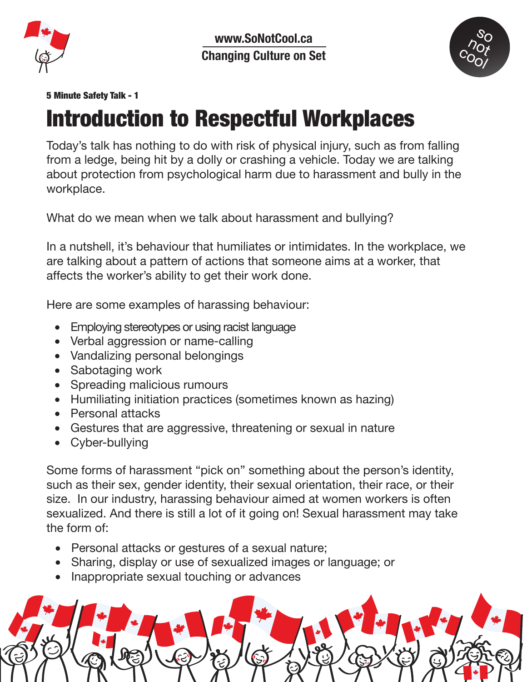



## 5 Minute Safety Talk - 1

## Introduction to Respectful Workplaces

Today's talk has nothing to do with risk of physical injury, such as from falling from a ledge, being hit by a dolly or crashing a vehicle. Today we are talking about protection from psychological harm due to harassment and bully in the workplace.

What do we mean when we talk about harassment and bullying?

In a nutshell, it's behaviour that humiliates or intimidates. In the workplace, we are talking about a pattern of actions that someone aims at a worker, that affects the worker's ability to get their work done.

Here are some examples of harassing behaviour:

- Employing stereotypes or using racist language
- Verbal aggression or name-calling
- Vandalizing personal belongings
- Sabotaging work
- Spreading malicious rumours
- Humiliating initiation practices (sometimes known as hazing)
- Personal attacks
- Gestures that are aggressive, threatening or sexual in nature
- Cyber-bullying

Some forms of harassment "pick on" something about the person's identity, such as their sex, gender identity, their sexual orientation, their race, or their size. In our industry, harassing behaviour aimed at women workers is often sexualized. And there is still a lot of it going on! Sexual harassment may take the form of:

- Personal attacks or gestures of a sexual nature;
- Sharing, display or use of sexualized images or language; or
- Inappropriate sexual touching or advances

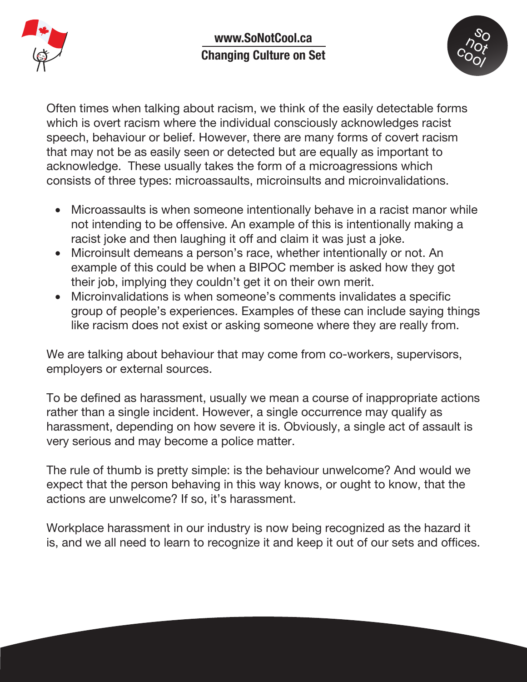



Often times when talking about racism, we think of the easily detectable forms which is overt racism where the individual consciously acknowledges racist speech, behaviour or belief. However, there are many forms of covert racism that may not be as easily seen or detected but are equally as important to acknowledge. These usually takes the form of a microagressions which consists of three types: microassaults, microinsults and microinvalidations.

- Microassaults is when someone intentionally behave in a racist manor while not intending to be offensive. An example of this is intentionally making a racist joke and then laughing it off and claim it was just a joke.
- Microinsult demeans a person's race, whether intentionally or not. An example of this could be when a BIPOC member is asked how they got their job, implying they couldn't get it on their own merit.
- Microinvalidations is when someone's comments invalidates a specific group of people's experiences. Examples of these can include saying things like racism does not exist or asking someone where they are really from.

We are talking about behaviour that may come from co-workers, supervisors, employers or external sources.

To be defined as harassment, usually we mean a course of inappropriate actions rather than a single incident. However, a single occurrence may qualify as harassment, depending on how severe it is. Obviously, a single act of assault is very serious and may become a police matter.

The rule of thumb is pretty simple: is the behaviour unwelcome? And would we expect that the person behaving in this way knows, or ought to know, that the actions are unwelcome? If so, it's harassment.

Workplace harassment in our industry is now being recognized as the hazard it is, and we all need to learn to recognize it and keep it out of our sets and offices.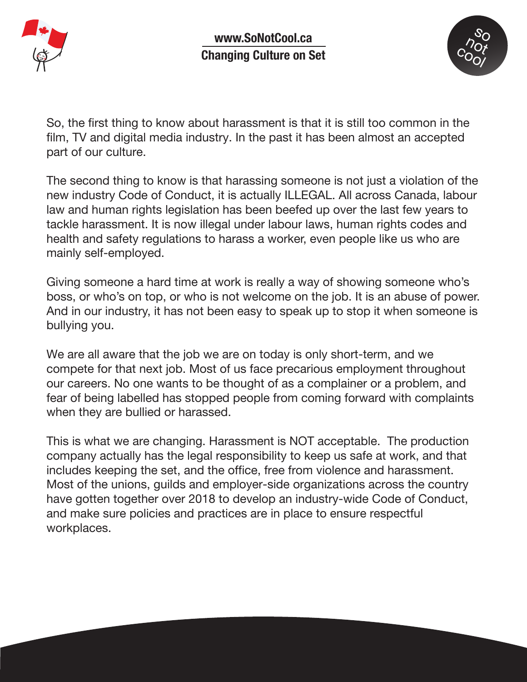



So, the first thing to know about harassment is that it is still too common in the film, TV and digital media industry. In the past it has been almost an accepted part of our culture.

The second thing to know is that harassing someone is not just a violation of the new industry Code of Conduct, it is actually ILLEGAL. All across Canada, labour law and human rights legislation has been beefed up over the last few years to tackle harassment. It is now illegal under labour laws, human rights codes and health and safety regulations to harass a worker, even people like us who are mainly self-employed.

Giving someone a hard time at work is really a way of showing someone who's boss, or who's on top, or who is not welcome on the job. It is an abuse of power. And in our industry, it has not been easy to speak up to stop it when someone is bullying you.

We are all aware that the job we are on today is only short-term, and we compete for that next job. Most of us face precarious employment throughout our careers. No one wants to be thought of as a complainer or a problem, and fear of being labelled has stopped people from coming forward with complaints when they are bullied or harassed.

This is what we are changing. Harassment is NOT acceptable. The production company actually has the legal responsibility to keep us safe at work, and that includes keeping the set, and the office, free from violence and harassment. Most of the unions, guilds and employer-side organizations across the country have gotten together over 2018 to develop an industry-wide Code of Conduct, and make sure policies and practices are in place to ensure respectful workplaces.